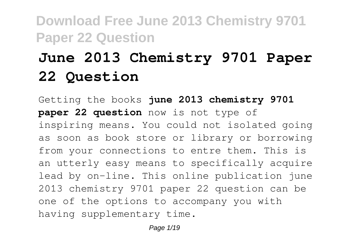# **June 2013 Chemistry 9701 Paper 22 Question**

Getting the books **june 2013 chemistry 9701 paper 22 question** now is not type of inspiring means. You could not isolated going as soon as book store or library or borrowing from your connections to entre them. This is an utterly easy means to specifically acquire lead by on-line. This online publication june 2013 chemistry 9701 paper 22 question can be one of the options to accompany you with having supplementary time.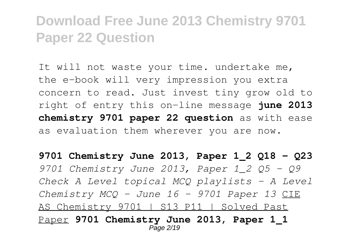It will not waste your time. undertake me, the e-book will very impression you extra concern to read. Just invest tiny grow old to right of entry this on-line message **june 2013 chemistry 9701 paper 22 question** as with ease as evaluation them wherever you are now.

**9701 Chemistry June 2013, Paper 1\_2 Q18 - Q23** *9701 Chemistry June 2013, Paper 1\_2 Q5 - Q9 Check A Level topical MCQ playlists - A Level Chemistry MCQ – June 16 – 9701 Paper 13* CIE AS Chemistry 9701 | S13 P11 | Solved Past Paper 9701 Chemistry June 2013, Paper 1 1 Page 2/19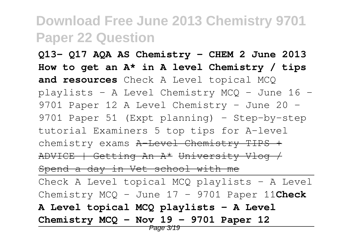**Q13- Q17 AQA AS Chemistry - CHEM 2 June 2013 How to get an A\* in A level Chemistry / tips and resources** Check A Level topical MCQ playlists - A Level Chemistry MCQ – June 16 – 9701 Paper 12 A Level Chemistry – June 20 – 9701 Paper 51 (Expt planning) - Step-by-step tutorial Examiners 5 top tips for A-level chemistry exams A-Level Chemistry TIPS + ADVICE | Getting An A\* University Vlog / Spend a day in Vet school with me

Check A Level topical MCQ playlists - A Level Chemistry MCQ – June 17 – 9701 Paper 11**Check A Level topical MCQ playlists - A Level**

**Chemistry MCQ – Nov 19 – 9701 Paper 12**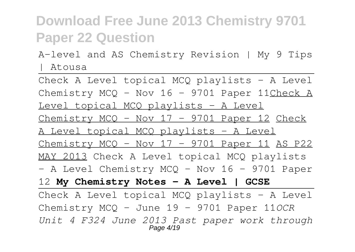A-level and AS Chemistry Revision | My 9 Tips | Atousa

Check A Level topical MCQ playlists - A Level Chemistry MCQ – Nov 16 – 9701 Paper 11Check A Level topical MCO playlists - A Level Chemistry MCQ – Nov 17 – 9701 Paper 12 Check A Level topical MCQ playlists - A Level Chemistry MCQ – Nov 17 – 9701 Paper 11 AS P22 MAY 2013 Check A Level topical MCQ playlists - A Level Chemistry MCQ – Nov 16 – 9701 Paper 12 **My Chemistry Notes - A Level | GCSE** Check A Level topical MCQ playlists - A Level Chemistry MCQ – June 19 – 9701 Paper 11*OCR Unit 4 F324 June 2013 Past paper work through* Page 4/19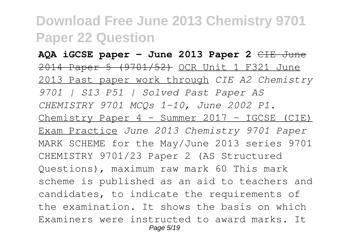**AOA iGCSE paper - June 2013 Paper 2** CIE June 2014 Paper 5 (9701/52) OCR Unit 1 F321 June 2013 Past paper work through *CIE A2 Chemistry 9701 | S13 P51 | Solved Past Paper AS CHEMISTRY 9701 MCQs 1-10, June 2002 P1.* Chemistry Paper 4 - Summer 2017 - IGCSE (CIE) Exam Practice *June 2013 Chemistry 9701 Paper* MARK SCHEME for the May/June 2013 series 9701 CHEMISTRY 9701/23 Paper 2 (AS Structured Questions), maximum raw mark 60 This mark scheme is published as an aid to teachers and candidates, to indicate the requirements of the examination. It shows the basis on which Examiners were instructed to award marks. It Page 5/19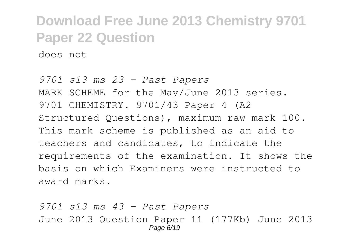does not

*9701 s13 ms 23 - Past Papers* MARK SCHEME for the May/June 2013 series. 9701 CHEMISTRY. 9701/43 Paper 4 (A2 Structured Questions), maximum raw mark 100. This mark scheme is published as an aid to teachers and candidates, to indicate the requirements of the examination. It shows the basis on which Examiners were instructed to award marks.

*9701 s13 ms 43 - Past Papers* June 2013 Question Paper 11 (177Kb) June 2013 Page 6/19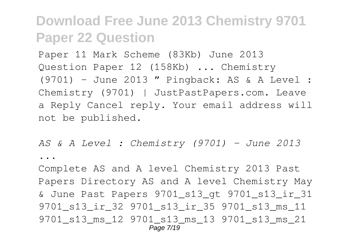Paper 11 Mark Scheme (83Kb) June 2013 Question Paper 12 (158Kb) ... Chemistry (9701) – June 2013 " Pingback: AS & A Level : Chemistry (9701) | JustPastPapers.com. Leave a Reply Cancel reply. Your email address will not be published.

*AS & A Level : Chemistry (9701) – June 2013 ...*

Complete AS and A level Chemistry 2013 Past Papers Directory AS and A level Chemistry May & June Past Papers 9701\_s13\_gt 9701\_s13\_ir\_31 9701 s13 ir 32 9701 s13 ir 35 9701 s13 ms 11 9701 s13 ms 12 9701 s13 ms 13 9701 s13 ms 21 Page 7/19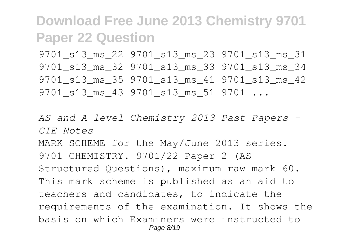9701 s13 ms 22 9701 s13 ms 23 9701 s13 ms 31 9701 s13 ms 32 9701 s13 ms 33 9701 s13 ms 34 9701 s13 ms 35 9701 s13 ms 41 9701 s13 ms 42 9701 s13 ms 43 9701 s13 ms 51 9701 ...

*AS and A level Chemistry 2013 Past Papers - CIE Notes*

MARK SCHEME for the May/June 2013 series. 9701 CHEMISTRY. 9701/22 Paper 2 (AS Structured Questions), maximum raw mark 60. This mark scheme is published as an aid to teachers and candidates, to indicate the requirements of the examination. It shows the basis on which Examiners were instructed to Page 8/19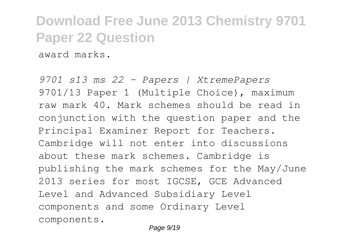award marks.

*9701 s13 ms 22 - Papers | XtremePapers* 9701/13 Paper 1 (Multiple Choice), maximum raw mark 40. Mark schemes should be read in conjunction with the question paper and the Principal Examiner Report for Teachers. Cambridge will not enter into discussions about these mark schemes. Cambridge is publishing the mark schemes for the May/June 2013 series for most IGCSE, GCE Advanced Level and Advanced Subsidiary Level components and some Ordinary Level components.

Page  $9/19$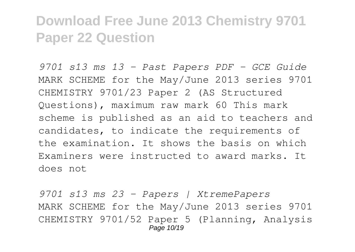*9701 s13 ms 13 - Past Papers PDF - GCE Guide* MARK SCHEME for the May/June 2013 series 9701 CHEMISTRY 9701/23 Paper 2 (AS Structured Questions), maximum raw mark 60 This mark scheme is published as an aid to teachers and candidates, to indicate the requirements of the examination. It shows the basis on which Examiners were instructed to award marks. It does not

*9701 s13 ms 23 - Papers | XtremePapers* MARK SCHEME for the May/June 2013 series 9701 CHEMISTRY 9701/52 Paper 5 (Planning, Analysis Page 10/19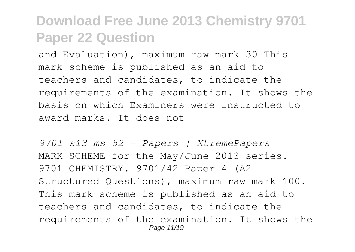and Evaluation), maximum raw mark 30 This mark scheme is published as an aid to teachers and candidates, to indicate the requirements of the examination. It shows the basis on which Examiners were instructed to award marks. It does not

*9701 s13 ms 52 - Papers | XtremePapers* MARK SCHEME for the May/June 2013 series. 9701 CHEMISTRY. 9701/42 Paper 4 (A2 Structured Questions), maximum raw mark 100. This mark scheme is published as an aid to teachers and candidates, to indicate the requirements of the examination. It shows the Page 11/19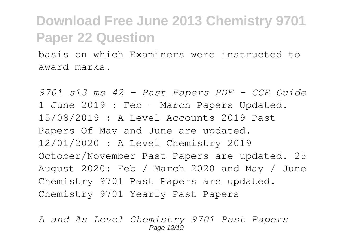basis on which Examiners were instructed to award marks.

*9701 s13 ms 42 - Past Papers PDF - GCE Guide* 1 June 2019 : Feb – March Papers Updated. 15/08/2019 : A Level Accounts 2019 Past Papers Of May and June are updated. 12/01/2020 : A Level Chemistry 2019 October/November Past Papers are updated. 25 August 2020: Feb / March 2020 and May / June Chemistry 9701 Past Papers are updated. Chemistry 9701 Yearly Past Papers

*A and As Level Chemistry 9701 Past Papers* Page 12/19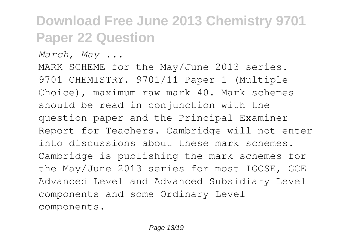*March, May ...*

MARK SCHEME for the May/June 2013 series. 9701 CHEMISTRY. 9701/11 Paper 1 (Multiple Choice), maximum raw mark 40. Mark schemes should be read in conjunction with the question paper and the Principal Examiner Report for Teachers. Cambridge will not enter into discussions about these mark schemes. Cambridge is publishing the mark schemes for the May/June 2013 series for most IGCSE, GCE Advanced Level and Advanced Subsidiary Level components and some Ordinary Level components.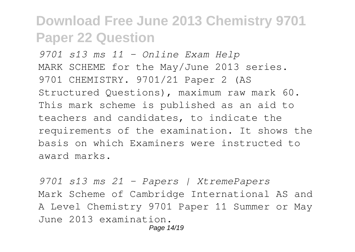*9701 s13 ms 11 - Online Exam Help* MARK SCHEME for the May/June 2013 series. 9701 CHEMISTRY. 9701/21 Paper 2 (AS Structured Questions), maximum raw mark 60. This mark scheme is published as an aid to teachers and candidates, to indicate the requirements of the examination. It shows the basis on which Examiners were instructed to award marks.

*9701 s13 ms 21 - Papers | XtremePapers* Mark Scheme of Cambridge International AS and A Level Chemistry 9701 Paper 11 Summer or May June 2013 examination.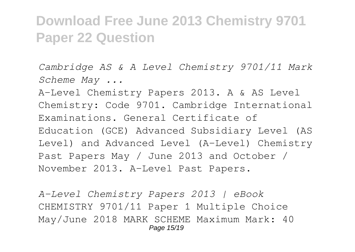*Cambridge AS & A Level Chemistry 9701/11 Mark Scheme May ...*

A-Level Chemistry Papers 2013. A & AS Level Chemistry: Code 9701. Cambridge International Examinations. General Certificate of Education (GCE) Advanced Subsidiary Level (AS Level) and Advanced Level (A-Level) Chemistry Past Papers May / June 2013 and October / November 2013. A-Level Past Papers.

*A-Level Chemistry Papers 2013 | eBook* CHEMISTRY 9701/11 Paper 1 Multiple Choice May/June 2018 MARK SCHEME Maximum Mark: 40 Page 15/19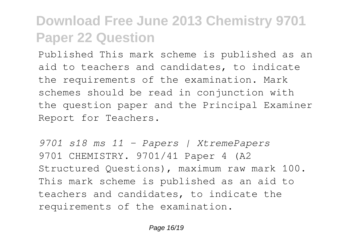Published This mark scheme is published as an aid to teachers and candidates, to indicate the requirements of the examination. Mark schemes should be read in conjunction with the question paper and the Principal Examiner Report for Teachers.

*9701 s18 ms 11 - Papers | XtremePapers* 9701 CHEMISTRY. 9701/41 Paper 4 (A2 Structured Questions), maximum raw mark 100. This mark scheme is published as an aid to teachers and candidates, to indicate the requirements of the examination.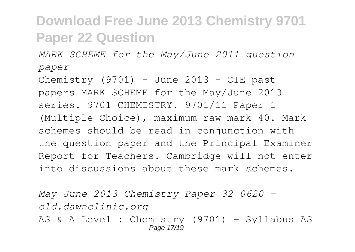*MARK SCHEME for the May/June 2011 question paper*

Chemistry  $(9701)$  - June 2013 - CIE past papers MARK SCHEME for the May/June 2013 series. 9701 CHEMISTRY. 9701/11 Paper 1 (Multiple Choice), maximum raw mark 40. Mark schemes should be read in conjunction with the question paper and the Principal Examiner Report for Teachers. Cambridge will not enter into discussions about these mark schemes.

```
May June 2013 Chemistry Paper 32 0620 -
old.dawnclinic.org
AS & A Level : Chemistry (9701) – Syllabus AS
                   Page 17/19
```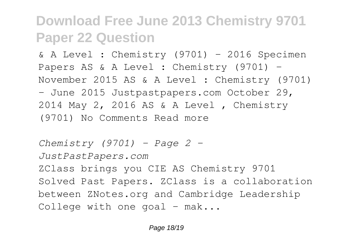& A Level : Chemistry (9701) – 2016 Specimen Papers AS & A Level : Chemistry (9701) – November 2015 AS & A Level : Chemistry (9701) – June 2015 Justpastpapers.com October 29, 2014 May 2, 2016 AS & A Level , Chemistry (9701) No Comments Read more

```
Chemistry (9701) – Page 2 –
JustPastPapers.com
ZClass brings you CIE AS Chemistry 9701
Solved Past Papers. ZClass is a collaboration
between ZNotes.org and Cambridge Leadership
College with one goal - mak...
```